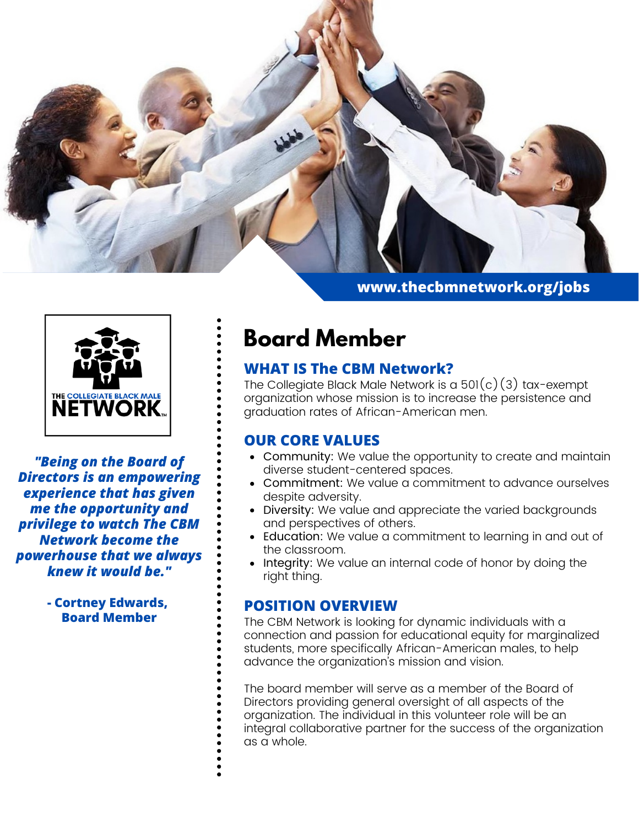

**www.thecbmnetwork.org/jobs**



*"Being on the Board of Directors is an empowering experience that has given me the opportunity and privilege to watch The CBM Network become the powerhouse that we always knew it would be."*

> **- Cortney Edwards, Board Member**

# **Board Member**

## **WHAT IS The CBM Network?**

The Collegiate Black Male Network is a  $501(c)(3)$  tax-exempt organization whose mission is to increase the persistence and graduation rates of African-American men.

## **OUR CORE VALUES**

- Community: We value the opportunity to create and maintain diverse student-centered spaces.
- Commitment: We value a commitment to advance ourselves despite adversity.
- Diversity: We value and appreciate the varied backgrounds and perspectives of others.
- Education: We value a commitment to learning in and out of the classroom.
- Integrity: We value an internal code of honor by doing the right thing.

#### **POSITION OVERVIEW**

The CBM Network is looking for dynamic individuals with a connection and passion for educational equity for marginalized students, more specifically African-American males, to help advance the organization's mission and vision.

The board member will serve as a member of the Board of Directors providing general oversight of all aspects of the organization. The individual in this volunteer role will be an integral collaborative partner for the success of the organization as a whole.